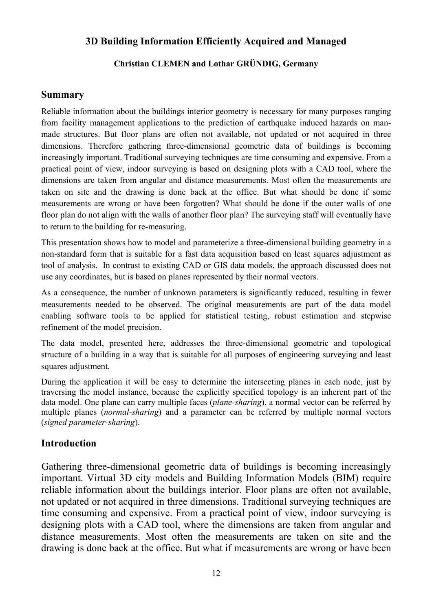### **3D Building Information Efficiently Acquired and Managed**

### **Christian CLEMEN and Lothar GRÜNDIG, Germany**

#### **Summary**

Reliable information about the buildings interior geometry is necessary for many purposes ranging from facility management applications to the prediction of earthquake induced hazards on manmade structures. But floor plans are often not available, not updated or not acquired in three dimensions. Therefore gathering three-dimensional geometric data of buildings is becoming increasingly important. Traditional surveying techniques are time consuming and expensive. From a practical point of view, indoor surveying is based on designing plots with a CAD tool, where the dimensions are taken from angular and distance measurements. Most often the measurements are taken on site and the drawing is done back at the office. But what should be done if some measurements are wrong or have been forgotten? What should be done if the outer walls of one floor plan do not align with the walls of another floor plan? The surveying staff will eventually have to return to the building for re-measuring.

This presentation shows how to model and parameterize a three-dimensional building geometry in a non-standard form that is suitable for a fast data acquisition based on least squares adjustment as tool of analysis. In contrast to existing CAD or GIS data models, the approach discussed does not use any coordinates, but is based on planes represented by their normal vectors.

As a consequence, the number of unknown parameters is significantly reduced, resulting in fewer measurements needed to be observed. The original measurements are part of the data model enabling software tools to be applied for statistical testing, robust estimation and stepwise refinement of the model precision.

The data model, presented here, addresses the three-dimensional geometric and topological structure of a building in a way that is suitable for all purposes of engineering surveying and least squares adjustment.

During the application it will be easy to determine the intersecting planes in each node, just by traversing the model instance, because the explicitly specified topology is an inherent part of the data model. One plane can carry multiple faces (*plane-sharing*), a normal vector can be referred by multiple planes (*normal-sharing*) and a parameter can be referred by multiple normal vectors (*signed parameter-sharing*).

### **Introduction**

Gathering three-dimensional geometric data of buildings is becoming increasingly important. Virtual 3D city models and Building Information Models (BIM) require reliable information about the buildings interior. Floor plans are often not available, not updated or not acquired in three dimensions. Traditional surveying techniques are time consuming and expensive. From a practical point of view, indoor surveying is designing plots with a CAD tool, where the dimensions are taken from angular and distance measurements. Most often the measurements are taken on site and the drawing is done back at the office. But what if measurements are wrong or have been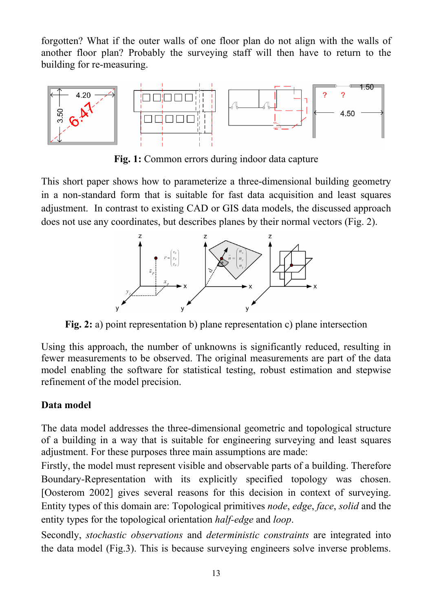forgotten? What if the outer walls of one floor plan do not align with the walls of another floor plan? Probably the surveying staff will then have to return to the building for re-measuring.



**Fig. 1:** Common errors during indoor data capture

This short paper shows how to parameterize a three-dimensional building geometry in a non-standard form that is suitable for fast data acquisition and least squares adjustment. In contrast to existing CAD or GIS data models, the discussed approach does not use any coordinates, but describes planes by their normal vectors (Fig. 2).



**Fig. 2:** a) point representation b) plane representation c) plane intersection

Using this approach, the number of unknowns is significantly reduced, resulting in fewer measurements to be observed. The original measurements are part of the data model enabling the software for statistical testing, robust estimation and stepwise refinement of the model precision.

# **Data model**

The data model addresses the three-dimensional geometric and topological structure of a building in a way that is suitable for engineering surveying and least squares adjustment. For these purposes three main assumptions are made:

Firstly, the model must represent visible and observable parts of a building. Therefore Boundary-Representation with its explicitly specified topology was chosen. [Oosterom 2002] gives several reasons for this decision in context of surveying. Entity types of this domain are: Topological primitives *node*, *edge*, *face*, *solid* and the entity types for the topological orientation *half-edge* and *loop*.

Secondly, *stochastic observations* and *deterministic constraints* are integrated into the data model (Fig.3). This is because surveying engineers solve inverse problems.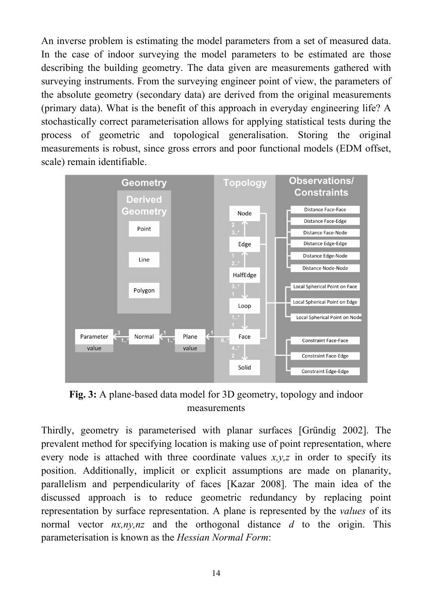An inverse problem is estimating the model parameters from a set of measured data. In the case of indoor surveying the model parameters to be estimated are those describing the building geometry. The data given are measurements gathered with surveying instruments. From the surveying engineer point of view, the parameters of the absolute geometry (secondary data) are derived from the original measurements (primary data). What is the benefit of this approach in everyday engineering life? A stochastically correct parameterisation allows for applying statistical tests during the process of geometric and topological generalisation. Storing the original measurements is robust, since gross errors and poor functional models (EDM offset, scale) remain identifiable.



**Fig. 3:** A plane-based data model for 3D geometry, topology and indoor measurements

Thirdly, geometry is parameterised with planar surfaces [Gründig 2002]. The prevalent method for specifying location is making use of point representation, where every node is attached with three coordinate values  $x, y, z$  in order to specify its position. Additionally, implicit or explicit assumptions are made on planarity, parallelism and perpendicularity of faces [Kazar 2008]. The main idea of the discussed approach is to reduce geometric redundancy by replacing point representation by surface representation. A plane is represented by the *values* of its normal vector *nx,ny,nz* and the orthogonal distance *d* to the origin. This parameterisation is known as the *Hessian Normal Form*: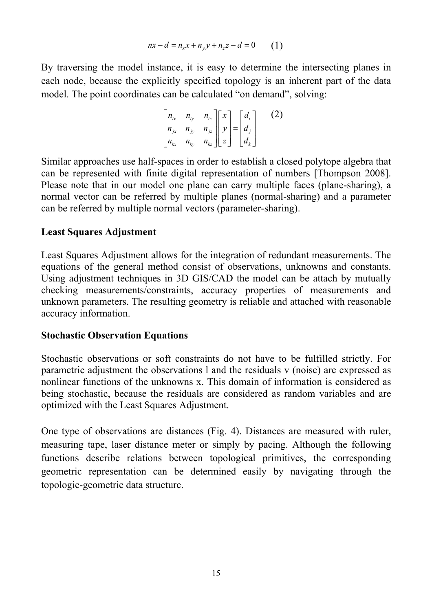$$
nx - d = n_x x + n_y y + n_z z - d = 0 \tag{1}
$$

By traversing the model instance, it is easy to determine the intersecting planes in each node, because the explicitly specified topology is an inherent part of the data model. The point coordinates can be calculated "on demand", solving:

$$
\begin{bmatrix} n_{ix} & n_{iy} & n_{iz} \\ n_{jx} & n_{jy} & n_{jz} \\ n_{kx} & n_{ky} & n_{kz} \end{bmatrix} \begin{bmatrix} x \\ y \\ z \end{bmatrix} = \begin{bmatrix} d_i \\ d_j \\ d_k \end{bmatrix}
$$
 (2)

Similar approaches use half-spaces in order to establish a closed polytope algebra that can be represented with finite digital representation of numbers [Thompson 2008]. Please note that in our model one plane can carry multiple faces (plane-sharing), a normal vector can be referred by multiple planes (normal-sharing) and a parameter can be referred by multiple normal vectors (parameter-sharing).

### **Least Squares Adjustment**

Least Squares Adjustment allows for the integration of redundant measurements. The equations of the general method consist of observations, unknowns and constants. Using adjustment techniques in 3D GIS/CAD the model can be attach by mutually checking measurements/constraints, accuracy properties of measurements and unknown parameters. The resulting geometry is reliable and attached with reasonable accuracy information.

#### **Stochastic Observation Equations**

Stochastic observations or soft constraints do not have to be fulfilled strictly. For parametric adjustment the observations l and the residuals v (noise) are expressed as nonlinear functions of the unknowns x. This domain of information is considered as being stochastic, because the residuals are considered as random variables and are optimized with the Least Squares Adjustment.

One type of observations are distances (Fig. 4). Distances are measured with ruler, measuring tape, laser distance meter or simply by pacing. Although the following functions describe relations between topological primitives, the corresponding geometric representation can be determined easily by navigating through the topologic-geometric data structure.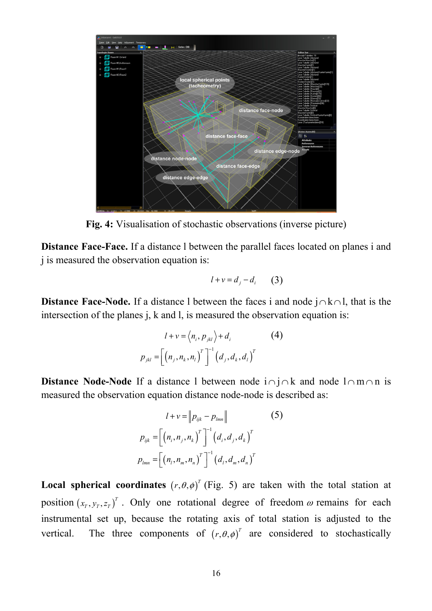

**Fig. 4:** Visualisation of stochastic observations (inverse picture)

**Distance Face-Face.** If a distance l between the parallel faces located on planes i and j is measured the observation equation is:

$$
l+v=d_j-d_i \qquad (3)
$$

**Distance Face-Node.** If a distance l between the faces i and node j∩k∩l, that is the intersection of the planes j, k and l, is measured the observation equation is:

$$
l + v = \langle n_i, p_{jkl} \rangle + d_i
$$
 (4)  

$$
p_{jkl} = \left[ \left( n_j, n_k, n_l \right)^{T} \right]^{-1} \left( d_j, d_k, d_l \right)^{T}
$$

**Distance Node-Node** If a distance 1 between node i∩j∩k and node l∩m∩n is measured the observation equation distance node-node is described as:

$$
l + v = \|p_{ijk} - p_{lmn}\|
$$
 (5)  

$$
p_{ijk} = \left[ (n_i, n_j, n_k)^T \right]^{-1} (d_i, d_j, d_k)^T
$$

$$
p_{lmn} = \left[ (n_l, n_m, n_n)^T \right]^{-1} (d_l, d_m, d_n)^T
$$

**Local spherical coordinates**  $(r, \theta, \phi)^T$  (Fig. 5) are taken with the total station at position  $(x_T, y_T, z_T)^T$ . Only one rotational degree of freedom  $\omega$  remains for each instrumental set up, because the rotating axis of total station is adjusted to the vertical. The three components of  $(r, \theta, \phi)^T$  are considered to stochastically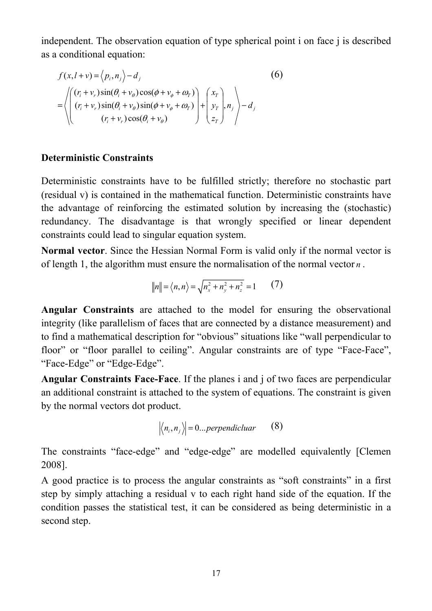independent. The observation equation of type spherical point i on face j is described as a conditional equation:

$$
f(x, l+v) = \langle p_i, n_j \rangle - d_j
$$
  
\n
$$
= \left\langle \begin{pmatrix} (r_i + v_r) \sin(\theta_i + v_\theta) \cos(\phi + v_\phi + \omega_r) \\ (r_i + v_r) \sin(\theta_i + v_\theta) \sin(\phi + v_\phi + \omega_r) \\ (r_i + v_r) \cos(\theta_i + v_\theta) \end{pmatrix} + \begin{pmatrix} x_r \\ y_r \\ z_r \end{pmatrix}, n_j \right\rangle - d_j
$$
\n(6)

### **Deterministic Constraints**

Deterministic constraints have to be fulfilled strictly; therefore no stochastic part (residual v) is contained in the mathematical function. Deterministic constraints have the advantage of reinforcing the estimated solution by increasing the (stochastic) redundancy. The disadvantage is that wrongly specified or linear dependent constraints could lead to singular equation system.

**Normal vector**. Since the Hessian Normal Form is valid only if the normal vector is of length 1, the algorithm must ensure the normalisation of the normal vector *n* .

$$
||n|| = \langle n, n \rangle = \sqrt{n_x^2 + n_y^2 + n_z^2} = 1
$$
 (7)

**Angular Constraints** are attached to the model for ensuring the observational integrity (like parallelism of faces that are connected by a distance measurement) and to find a mathematical description for "obvious" situations like "wall perpendicular to floor" or "floor parallel to ceiling". Angular constraints are of type "Face-Face", "Face-Edge" or "Edge-Edge".

**Angular Constraints Face-Face**. If the planes i and j of two faces are perpendicular an additional constraint is attached to the system of equations. The constraint is given by the normal vectors dot product.

$$
\left| \left\langle n_i, n_j \right\rangle \right| = 0...perpendicular \qquad (8)
$$

The constraints "face-edge" and "edge-edge" are modelled equivalently [Clemen 2008].

A good practice is to process the angular constraints as "soft constraints" in a first step by simply attaching a residual v to each right hand side of the equation. If the condition passes the statistical test, it can be considered as being deterministic in a second step.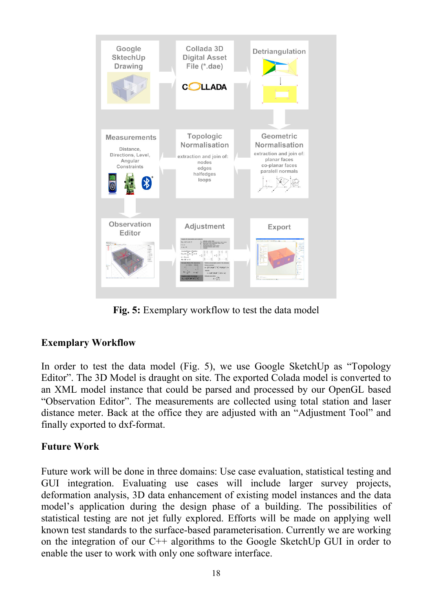

**Fig. 5:** Exemplary workflow to test the data model

## **Exemplary Workflow**

In order to test the data model (Fig. 5), we use Google SketchUp as "Topology Editor". The 3D Model is draught on site. The exported Colada model is converted to an XML model instance that could be parsed and processed by our OpenGL based "Observation Editor". The measurements are collected using total station and laser distance meter. Back at the office they are adjusted with an "Adjustment Tool" and finally exported to dxf-format.

## **Future Work**

Future work will be done in three domains: Use case evaluation, statistical testing and GUI integration. Evaluating use cases will include larger survey projects, deformation analysis, 3D data enhancement of existing model instances and the data model's application during the design phase of a building. The possibilities of statistical testing are not jet fully explored. Efforts will be made on applying well known test standards to the surface-based parameterisation. Currently we are working on the integration of our C++ algorithms to the Google SketchUp GUI in order to enable the user to work with only one software interface.